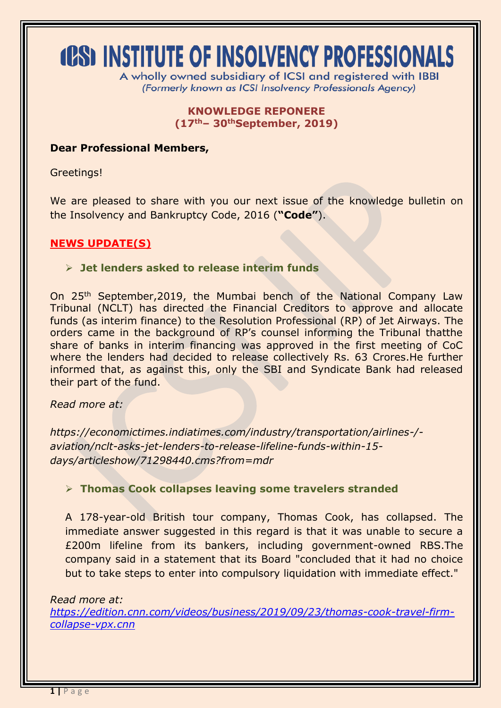# **(PS) INSTITUTE OF INSOLVENCY PROFESSIONALS**

A wholly owned subsidiary of ICSI and registered with IBBI (Formerly known as ICSI Insolvency Professionals Agency)

> **KNOWLEDGE REPONERE (17th– 30thSeptember, 2019)**

#### **Dear Professional Members,**

Greetings!

We are pleased to share with you our next issue of the knowledge bulletin on the Insolvency and Bankruptcy Code, 2016 (**"Code"**).

# **NEWS UPDATE(S)**

#### **Jet lenders asked to release interim funds**

On 25th September,2019, the Mumbai bench of the National Company Law Tribunal (NCLT) has directed the Financial Creditors to approve and allocate funds (as interim finance) to the Resolution Professional (RP) of Jet Airways. The orders came in the background of RP's counsel informing the Tribunal thatthe share of banks in interim financing was approved in the first meeting of CoC where the lenders had decided to release collectively Rs. 63 Crores.He further informed that, as against this, only the SBI and Syndicate Bank had released their part of the fund.

*Read more at:*

*[https://economictimes.indiatimes.com/industry/transportation/airlines-/](https://economictimes.indiatimes.com/industry/transportation/airlines-/-aviation/nclt-asks-jet-lenders-to-release-lifeline-funds-within-15-days/articleshow/71298440.cms?from=mdr) [aviation/nclt-asks-jet-lenders-to-release-lifeline-funds-within-15](https://economictimes.indiatimes.com/industry/transportation/airlines-/-aviation/nclt-asks-jet-lenders-to-release-lifeline-funds-within-15-days/articleshow/71298440.cms?from=mdr) [days/articleshow/71298440.cms?from=mdr](https://economictimes.indiatimes.com/industry/transportation/airlines-/-aviation/nclt-asks-jet-lenders-to-release-lifeline-funds-within-15-days/articleshow/71298440.cms?from=mdr)*

## **Thomas Cook collapses leaving some travelers stranded**

A 178-year-old British tour company, Thomas Cook, has collapsed. The immediate answer suggested in this regard is that it was unable to secure a £200m lifeline from its bankers, including government-owned RBS.The company said in a statement that its Board "concluded that it had no choice but to take steps to enter into compulsory liquidation with immediate effect."

#### *Read more at:*

*[https://edition.cnn.com/videos/business/2019/09/23/thomas-cook-travel-firm](https://edition.cnn.com/videos/business/2019/09/23/thomas-cook-travel-firm-collapse-vpx.cnn)[collapse-vpx.cnn](https://edition.cnn.com/videos/business/2019/09/23/thomas-cook-travel-firm-collapse-vpx.cnn)*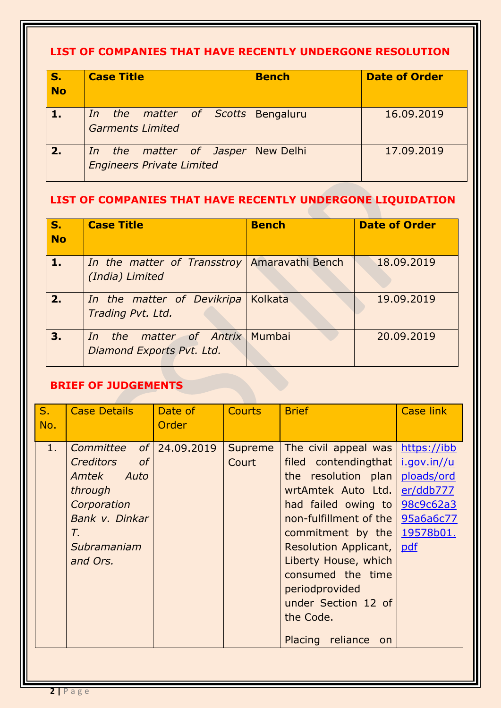# **LIST OF COMPANIES THAT HAVE RECENTLY UNDERGONE RESOLUTION**

| $\mathbf{S}$ .<br><b>No</b> |                                                             | <b>Case Title</b> |                         |  | <b>Bench</b>                             | <b>Date of Order</b> |
|-----------------------------|-------------------------------------------------------------|-------------------|-------------------------|--|------------------------------------------|----------------------|
|                             |                                                             |                   | <b>Garments Limited</b> |  | <i>In the matter of Scotts</i> Bengaluru | 16,09,2019           |
| 2.                          | In the matter of Jasper<br><b>Engineers Private Limited</b> |                   |                         |  | <b>New Delhi</b>                         | 17.09.2019           |

# **LIST OF COMPANIES THAT HAVE RECENTLY UNDERGONE LIQUIDATION**

| $\overline{\mathsf{s}}$ .<br><b>No</b> | <b>Case Title</b>                                                  | <b>Bench</b> | <b>Date of Order</b> |
|----------------------------------------|--------------------------------------------------------------------|--------------|----------------------|
| 1.                                     | In the matter of Transstroy   Amaravathi Bench<br>(India) Limited  |              | 18.09.2019           |
| 2.                                     | In the matter of Devikripa<br>Trading Pvt. Ltd.                    | Kolkata      | 19.09.2019           |
| 3.                                     | <i>In the matter of Antrix</i> Mumbai<br>Diamond Exports Pvt. Ltd. |              | 20.09.2019           |

# **BRIEF OF JUDGEMENTS**

| $S_{1}$<br>No. | <b>Case Details</b>                                                                                                                                           | Date of<br>Order | <b>Courts</b>    | <b>Brief</b>                                                                                                                                                                                                                                                                                                         | <b>Case link</b>                                                                                    |
|----------------|---------------------------------------------------------------------------------------------------------------------------------------------------------------|------------------|------------------|----------------------------------------------------------------------------------------------------------------------------------------------------------------------------------------------------------------------------------------------------------------------------------------------------------------------|-----------------------------------------------------------------------------------------------------|
| 1 <sub>1</sub> | of <sub>l</sub><br>Committee<br><b>Creditors</b><br>of<br>Auto<br>Amtek<br>through<br>Corporation<br>Bank v. Dinkar<br>$T_{\rm r}$<br>Subramaniam<br>and Ors. | 24.09.2019       | Supreme<br>Court | The civil appeal was<br>filed contendingthat<br>the resolution plan<br>wrtAmtek Auto Ltd.<br>had failed owing to<br>non-fulfillment of the l<br>commitment by the<br>Resolution Applicant,<br>Liberty House, which<br>consumed the time<br>periodprovided<br>under Section 12 of<br>the Code.<br>Placing reliance on | https://ibb<br>i.qov.in//u<br>ploads/ord<br>er/ddb777<br>98c9c62a3<br>95a6a6c77<br>19578b01.<br>pdf |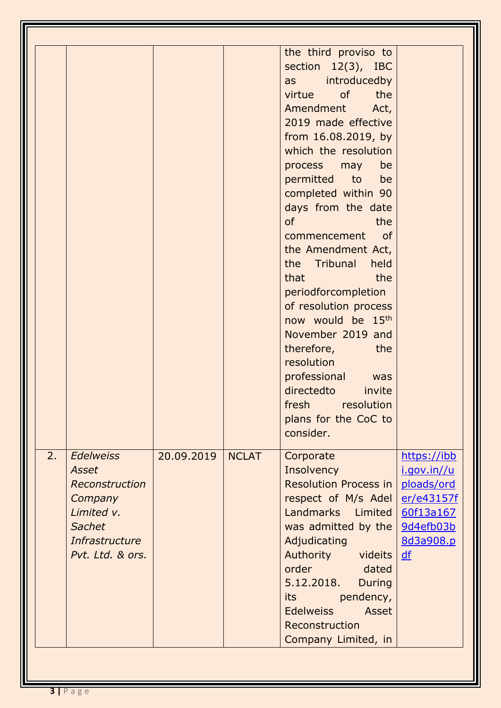|    |                                                                                                                      |            |              | the third proviso to<br>section 12(3), IBC<br>introducedby<br>as<br>of<br>the<br>virtue<br>Amendment<br>Act,<br>2019 made effective<br>from 16.08.2019, by<br>which the resolution<br>process<br>may<br>be<br>permitted<br>to<br>be<br>completed within 90<br>days from the date<br><b>of</b><br>the<br>commencement<br><sub>of</sub><br>the Amendment Act,<br>Tribunal<br>held<br>the<br>that<br>the<br>periodforcompletion<br>of resolution process<br>now would be 15 <sup>th</sup><br>November 2019 and<br>therefore,<br>the<br>resolution<br>professional<br>was<br>directedto<br>invite<br>fresh<br>resolution<br>plans for the CoC to<br>consider. |                                                                                        |
|----|----------------------------------------------------------------------------------------------------------------------|------------|--------------|-----------------------------------------------------------------------------------------------------------------------------------------------------------------------------------------------------------------------------------------------------------------------------------------------------------------------------------------------------------------------------------------------------------------------------------------------------------------------------------------------------------------------------------------------------------------------------------------------------------------------------------------------------------|----------------------------------------------------------------------------------------|
| 2. | <b>Edelweiss</b><br>Asset<br>Reconstruction<br>Company<br>Limited v.<br>Sachet<br>Infrastructure<br>Pvt. Ltd. & ors. | 20.09.2019 | <b>NCLAT</b> | Corporate<br>Insolvency<br><b>Resolution Process in</b><br>respect of M/s Adel<br>Landmarks Limited<br>was admitted by the $9d4efb03b$<br>Adjudicating<br>Authority videits<br>order dated<br>5.12.2018.<br><b>During</b><br>pendency,<br><b>its</b> the set<br><b>Edelweiss</b><br>Asset<br>Reconstruction<br>Company Limited, in                                                                                                                                                                                                                                                                                                                        | https://ibb<br>i.gov.in//u<br>ploads/ord<br>er/e43157f<br>60f13a167<br>8d3a908.p<br>df |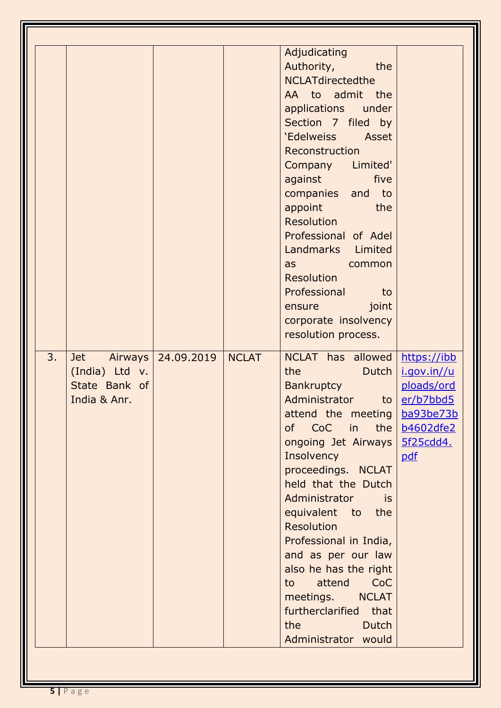| Authority,<br>the<br><b>NCLATdirectedthe</b><br>AA to admit the<br>applications under<br>Section 7 filed by<br>'Edelweiss Asset<br>Reconstruction<br>Company Limited'<br>against<br>five                                                                                                                                                                                                                                                                                                                                                                                                                                                                                                                                                                                                                                                                                                                                                                                                                                                                                                                                  |  |                                  |  |
|---------------------------------------------------------------------------------------------------------------------------------------------------------------------------------------------------------------------------------------------------------------------------------------------------------------------------------------------------------------------------------------------------------------------------------------------------------------------------------------------------------------------------------------------------------------------------------------------------------------------------------------------------------------------------------------------------------------------------------------------------------------------------------------------------------------------------------------------------------------------------------------------------------------------------------------------------------------------------------------------------------------------------------------------------------------------------------------------------------------------------|--|----------------------------------|--|
| appoint<br>the<br><b>Resolution</b><br>Professional of Adel<br>Landmarks Limited<br>common<br>as<br>Resolution<br>Professional<br>to<br>joint<br><b>ensure</b><br>corporate insolvency<br>resolution process.<br>3.<br>NCLAT has allowed<br>24.09.2019<br><b>NCLAT</b><br>https://ibb<br><b>Jet</b><br>Airways<br>(India) Ltd v.<br>the<br>Dutch<br>i.gov.in//u<br>State Bank of<br>Bankruptcy<br>ploads/ord<br>Administrator<br>to $er/b7bbd5$<br>India & Anr.<br>attend the meeting   ba93be73b<br>of CoC in the   b4602dfe2<br>ongoing Jet Airways   5f25cdd4.<br>Insolvency<br>pdf<br>proceedings. NCLAT<br>held that the Dutch<br>Administrator<br>is<br>equivalent to the<br><b>Resolution</b><br>Professional in India,<br>and as per our law<br>also he has the right<br>CoC<br>attend<br>to<br>meetings. NCLAT<br>furtherclarified that<br>the the contract of the state of the state of the state of the state of the state of the state of the state of the state of the state of the state of the state of the state of the state of the state of the state of the sta<br><b>Dutch</b><br>Administrator would |  | Adjudicating<br>companies and to |  |